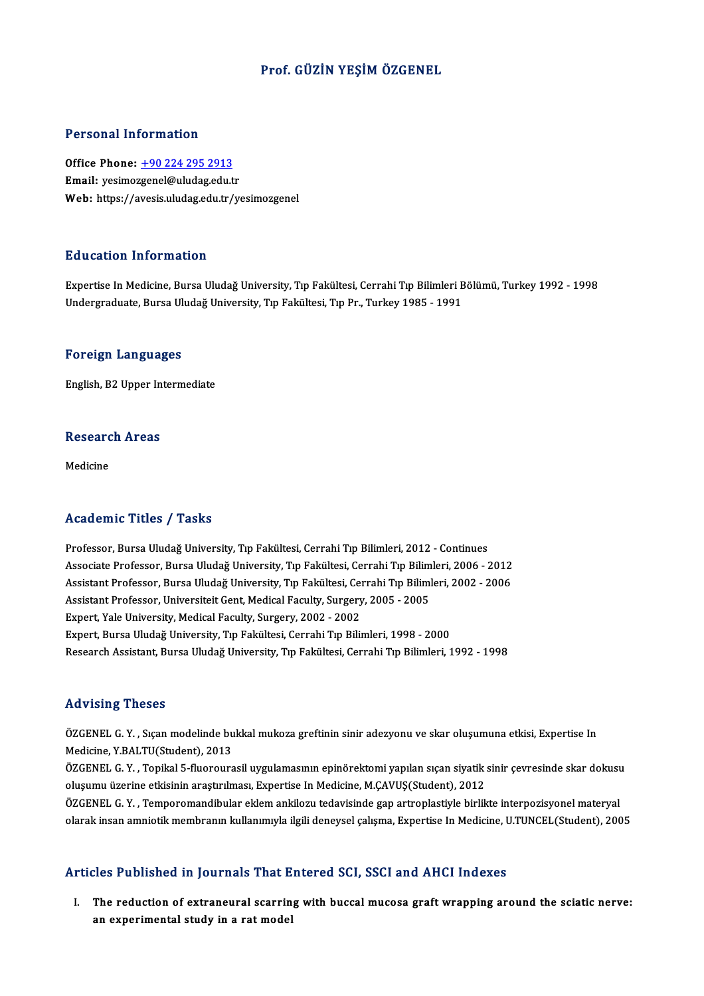### Prof. GÜZİN YEŞİMÖZGENEL

#### Personal Information

Personal Information<br>Office Phone: <u>+90 224 295 2913</u><br>Email: wesinersenel@uludas.edu.t Processing information<br>Office Phone: <u>+90 224 295 2913</u><br>Email: yesimo[zgenel@uludag.edu.t](tel:+90 224 295 2913)r Email: yesimozgenel@uludag.edu.tr<br>Web: https://avesis.uludag.edu.tr/yesimozgenel

#### Education Information

Expertise In Medicine, Bursa Uludağ University, Tıp Fakültesi, Cerrahi Tıp Bilimleri Bölümü, Turkey 1992 - 1998 Undergraduate, Bursa Uludağ University, Tıp Fakültesi, Tıp Pr., Turkey 1985 - 1991

#### Foreign Languages

English,B2Upper Intermediate

# engusn, B2 Opper in<br>Research Areas <mark>Resear</mark>c<br><sub>Medicine</sub>

# Medicine<br>Academic Titles / Tasks

Professor, Bursa Uludağ University, Tıp Fakültesi, Cerrahi Tıp Bilimleri, 2012 - Continues -<br>Associate Professor, Bursa Uludağ University, Tıp Fakültesi, Cerrahi Tıp Bilimleri, 2012 - Continues<br>Associate Professor, Bursa Uludağ University, Tıp Fakültesi, Cerrahi Tıp Bilimleri, 2006 - 2012<br>Assistant Professor, Bu Professor, Bursa Uludağ University, Tıp Fakültesi, Cerrahi Tıp Bilimleri, 2012 - Continues<br>Associate Professor, Bursa Uludağ University, Tıp Fakültesi, Cerrahi Tıp Bilimleri, 2006 - 2012<br>Assistant Professor, Bursa Uludağ U Associate Professor, Bursa Uludağ University, Tıp Fakültesi, Cerrahi Tıp Bilim<br>Assistant Professor, Bursa Uludağ University, Tıp Fakültesi, Cerrahi Tıp Biliml<br>Assistant Professor, Universiteit Gent, Medical Faculty, Surger Assistant Professor, Bursa Uludağ University, Tıp Fakültesi, Cel<br>Assistant Professor, Universiteit Gent, Medical Faculty, Surgery<br>Expert, Yale University, Medical Faculty, Surgery, 2002 - 2002<br>Expert, Bursa Uludağ Universi Assistant Professor, Universiteit Gent, Medical Faculty, Surgery, 2005 - 2005<br>Expert, Yale University, Medical Faculty, Surgery, 2002 - 2002<br>Expert, Bursa Uludağ University, Tıp Fakültesi, Cerrahi Tıp Bilimleri, 1998 - 200 Expert, Yale University, Medical Faculty, Surgery, 2002 - 2002<br>Expert, Bursa Uludağ University, Tıp Fakültesi, Cerrahi Tıp Bilimleri, 1998 - 2000<br>Research Assistant, Bursa Uludağ University, Tıp Fakültesi, Cerrahi Tıp Bili

#### Advising Theses

Advising Theses<br>ÖZGENEL G. Y. , Sıçan modelinde bukkal mukoza greftinin sinir adezyonu ve skar oluşumuna etkisi, Expertise In<br>Modisine X RALTU(Student), 2012 Medicine, Theodor<br>ÖZGENEL G. Y. , Sıçan modelinde bu<br>Medicine, Y.BALTU(Student), 2013<br>ÖZGENEL G. Y., Tonikal 5 fluorours ÖZGENEL G. Y. , Sıçan modelinde bukkal mukoza greftinin sinir adezyonu ve skar oluşumuna etkisi, Expertise In<br>Medicine, Y.BALTU(Student), 2013<br>ÖZGENEL G. Y. , Topikal 5-fluorourasil uygulamasının epinörektomi yapılan sıçan Medicine, Y.BALTU(Student), 2013<br>ÖZGENEL G. Y. , Topikal 5-fluorourasil uygulamasının epinörektomi yapılan sıçan siyatik :<br>oluşumu üzerine etkisinin araştırılması, Expertise In Medicine, M.ÇAVUŞ(Student), 2012<br>ÖZGENEL G. Y ÖZGENEL G. Y. , Topikal 5-fluorourasil uygulamasının epinörektomi yapılan sıçan siyatik sinir çevresinde skar dokusu<br>oluşumu üzerine etkisinin araştırılması, Expertise In Medicine, M.ÇAVUŞ(Student), 2012<br>ÖZGENEL G. Y. , Te oluşumu üzerine etkisinin araştırılması, Expertise In Medicine, M.ÇAVUŞ(Student), 2012<br>ÖZGENEL G. Y. , Temporomandibular eklem ankilozu tedavisinde gap artroplastiyle birlikte interpozisyonel materyal<br>olarak insan amniotik

#### Articles Published in Journals That Entered SCI, SSCI and AHCI Indexes

I. The reduction of extraneural scarring with buccalmucosa graftwrapping around the sciatic nerve: an experimental study in a rat model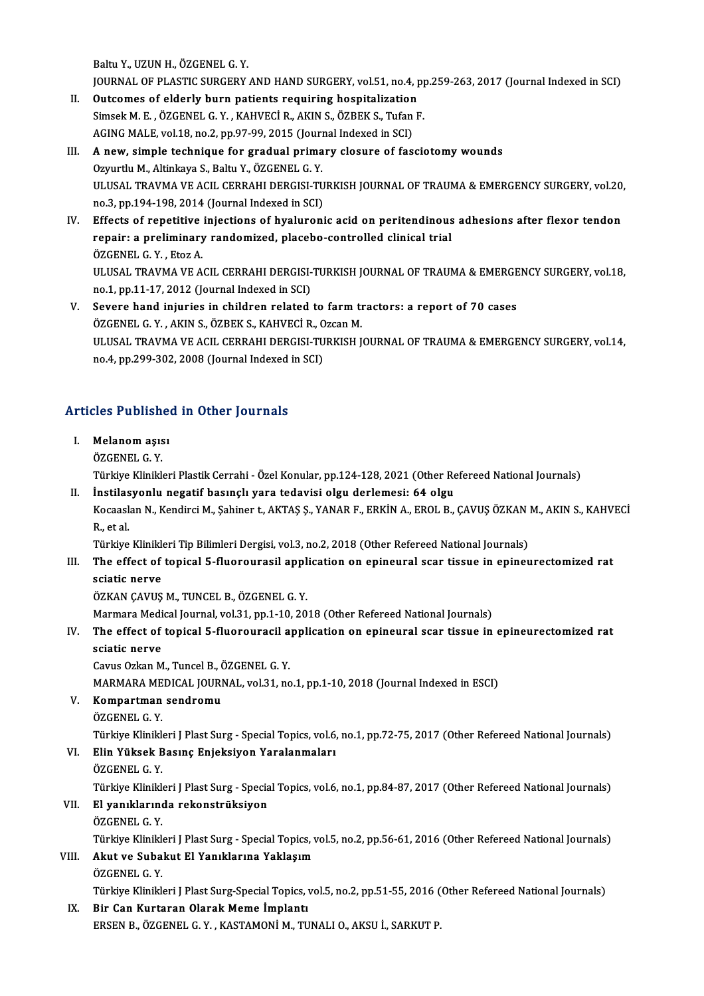Baltu Y., UZUN H., ÖZGENEL G. Y.

Baltu Y., UZUN H., ÖZGENEL G. Y.<br>JOURNAL OF PLASTIC SURGERY AND HAND SURGERY, vol.51, no.4, pp.259-263, 2017 (Journal Indexed in SCI)<br>Outsemes of alderly hunn patients requiring bespitalization Baltu Y., UZUN H., ÖZGENEL G. Y.<br>JOURNAL OF PLASTIC SURGERY AND HAND SURGERY, vol.51, no.4, p<br>II. Outcomes of elderly burn patients requiring hospitalization<br>Simesh M. E., ÖZGENEL C. Y., KAHVECLR, AKIN S., ÖZREK S. Tufan E

- JOURNAL OF PLASTIC SURGERY AND HAND SURGERY, vol.51, no.4, pp<br>Outcomes of elderly burn patients requiring hospitalization<br>Simsek M. E. , ÖZGENEL G. Y. , KAHVECİ R., AKIN S., ÖZBEK S., Tufan F.<br>ACINC MALE vol.19, no.2, np.9 II. Outcomes of elderly burn patients requiring hospitalization<br>Simsek M. E., ÖZGENEL G. Y., KAHVECİ R., AKIN S., ÖZBEK S., Tufan F.<br>AGING MALE, vol.18, no.2, pp.97-99, 2015 (Journal Indexed in SCI)
- III. A new, simple technique for gradual primary closure of fasciotomy wounds Ozyurtlu M., Altinkaya S., Baltu Y., ÖZGENEL G. Y. A new, simple technique for gradual primary closure of fasciotomy wounds<br>Ozyurtlu M., Altinkaya S., Baltu Y., ÖZGENEL G. Y.<br>ULUSAL TRAVMA VE ACIL CERRAHI DERGISI-TURKISH JOURNAL OF TRAUMA & EMERGENCY SURGERY, vol.20,<br>no 2, Ozyurtlu M., Altinkaya S., Baltu Y., ÖZGENEL G. Y.<br>ULUSAL TRAVMA VE ACIL CERRAHI DERGISI-TU<br>no.3, pp.194-198, 2014 (Journal Indexed in SCI)<br>Effects of repotitive injections of hygluvoni ULUSAL TRAVMA VE ACIL CERRAHI DERGISI-TURKISH JOURNAL OF TRAUMA & EMERGENCY SURGERY, vol.20<br>no.3, pp.194-198, 2014 (Journal Indexed in SCI)<br>IV. Effects of repetitive injections of hyaluronic acid on peritendinous adhesions
- no.3, pp.194-198, 2014 (Journal Indexed in SCI)<br>Effects of repetitive injections of hyaluronic acid on peritendinous<br>repair: a preliminary randomized, placebo-controlled clinical trial<br>ÖZCENEL C. Y., Etor A Effects of repetitive<br>repair: a preliminary<br>ÖZGENEL G.Y., Etoz A.<br>ULUSAL TRAVMA VE A. repair: a preliminary randomized, placebo-controlled clinical trial<br>ÖZGENEL G. Y. , Etoz A.<br>ULUSAL TRAVMA VE ACIL CERRAHI DERGISI-TURKISH JOURNAL OF TRAUMA & EMERGENCY SURGERY, vol.18, no.1, pp.11-17, 2012 (Journal Indexed in SCI) ULUSAL TRAVMA VE ACIL CERRAHI DERGISI-TURKISH JOURNAL OF TRAUMA & EMERGE<br>no.1, pp.11-17, 2012 (Journal Indexed in SCI)<br>V. Severe hand injuries in children related to farm tractors: a report of 70 cases<br> $\ddot{\text{OZCEMEL}}$  C. Y.
- no.1, pp.11-17, 2012 (Journal Indexed in SCI)<br>Severe hand injuries in children related to farm the<br>ÖZGENEL G.Y. , AKIN S., ÖZBEK S., KAHVECİ R., Ozcan M.<br>ULUSAL TRAVMA VE ACU, CERRAHI DERÇISI TURKISH I ULUSAL TRAVMA VE ACIL CERRAHI DERGISI-TURKISH JOURNAL OF TRAUMA & EMERGENCY SURGERY, vol.14,<br>no.4, pp.299-302, 2008 (Journal Indexed in SCI) ÖZGENEL G.Y., AKIN S., ÖZBEK S., KAHVECİR., Ozcan M.

# no.4, pp.299-302, 2008 (journal indexed<br>Articles Published in Other Journals

**Tricles Publishe**<br>I. Melanom aşısı<br>ÖZCENEL C. Y I. Melanom aşısı<br>ÖZGENEL G.Y. Melanom aşısı<br>ÖZGENEL G. Y.<br>Türkiye Klinikleri Plastik Cerrahi - Özel Konular, pp.124-128, 2021 (Other Refereed National Journals)<br>İnstilasyonlu negatif basınclı yara tedevisi olay derlemesi: 64 olay. ÖZGENEL G. Y.<br>Türkiye Klinikleri Plastik Cerrahi - Özel Konular, pp.124-128, 2021 (Other Re<br>II. İnstilasyonlu negatif basınçlı yara tedavisi olgu derlemesi: 64 olgu<br>Kosaselan N. Kondinsi M. Sobiner t. AKTAS S. YANAR E. ERK Türkiye Klinikleri Plastik Cerrahi - Özel Konular, pp.124-128, 2021 (Other Refereed National Journals)<br><mark>İnstilasyonlu negatif basınçlı yara tedavisi olgu derlemesi: 64 olgu</mark><br>Kocaaslan N., Kendirci M., Şahiner t., AKTAŞ Ş., **İnstilas<br>Kocaas**k<br>R., et al.<br>Türkiye

Kocaaslan N., Kendirci M., Şahiner t., AKTAŞ Ş., YANAR F., ERKİN A., EROL B., ÇAVUŞ ÖZKAN .<br>R., et al.<br>Türkiye Klinikleri Tip Bilimleri Dergisi, vol.3, no.2, 2018 (Other Refereed National Journals)<br>The effect of tenicel E. R., et al.<br>Türkiye Klinikleri Tip Bilimleri Dergisi, vol.3, no.2, 2018 (Other Refereed National Journals)<br>III. The effect of topical 5-fluorourasil application on epineural scar tissue in epineurectomized rat<br>caintis n

# Türkiye Klinikle<br>The effect of<br>sciatic nerve<br>ÖZKAN CAVUS The effect of topical 5-fluorourasil appl<br>sciatic nerve<br>ÖZKAN ÇAVUŞ M., TUNCEL B., ÖZGENEL G. Y.<br>Marmara Madisal Jaurnal vol 31 nn 1 10 20 sciatic nerve<br>ÖZKAN ÇAVUŞ M., TUNCEL B., ÖZGENEL G. Y.<br>Marmara Medical Journal, vol.31, pp.1-10, 2018 (Other Refereed National Journals)<br>The effect of topical E. fluorourasil application en epineural sear ticeus in

## ÖZKAN ÇAVUŞ M., TUNCEL B., ÖZGENEL G. Y.<br>Marmara Medical Journal, vol.31, pp.1-10, 2018 (Other Refereed National Journals)<br>IV. The effect of topical 5-fluorouracil application on epineural scar tissue in epineurectomiz Marmara Medi<br>The effect of<br>sciatic nerve The effect of topical 5-fluorouracil a<br>sciatic nerve<br>Cavus Ozkan M., Tuncel B., ÖZGENEL G. Y.<br>MARMARA MEDICAL JOURNAL .vel 31. no sciatic nerve<br>Cavus Ozkan M., Tuncel B., ÖZGENEL G. Y.<br>MARMARA MEDICAL JOURNAL, vol.31, no.1, pp.1-10, 2018 (Journal Indexed in ESCI)<br>Kompartman sandromu

# Cavus Ozkan M., Tuncel B., (<br>MARMARA MEDICAL JOURI<br>V. Kompartman sendromu<br>ÖZCENEL C. V MARMARA ME<br>Kompartman<br>ÖZGENEL G. Y.<br>Türkiye Klinikl

V. Kompartman sendromu<br>ÖZGENEL G. Y.<br>Türkiye Klinikleri J Plast Surg - Special Topics, vol.6, no.1, pp.72-75, 2017 (Other Refereed National Journals)

# ÖZGENEL G. Y.<br>Türkiye Klinikleri J Plast Surg - Special Topics, vol.6,<br>VI. Elin Yüksek Basınç Enjeksiyon Yaralanmaları<br>ÖZCENEL C. Y Türkiye Klinikl<mark>e</mark><br>Eli**n Yüksek B**<br>ÖZGENEL G. Y.<br>Türkiye Klinikle

Elin Yüksek Basınç Enjeksiyon Yaralanmaları<br>ÖZGENEL G. Y.<br>Türkiye Klinikleri J Plast Surg - Special Topics, vol.6, no.1, pp.84-87, 2017 (Other Refereed National Journals) ÖZGENEL G. Y.<br>Türkiye Klinikleri J Plast Surg - Specia<br>VII. El yanıklarında rekonstrüksiyon<br>ÖZGENEL G. Y. Türkiye Klinikl<mark>e</mark><br>El yanıklarınd<br>ÖZGENEL G. Y.<br>Türkiye Klinikle

Türkiye Klinikleri J Plast Surg - Special Topics, vol.5, no.2, pp.56-61, 2016 (Other Refereed National Journals)

# ÖZGENEL G. Y.<br>Türkiye Klinikleri J Plast Surg - Special Topics, v<br>VIII. Akut ve Subakut El Yanıklarına Yaklaşım<br>ÖZGENEL G. Y Türkiye Klinikl<mark>e</mark><br>**Akut ve Suba**<br>ÖZGENEL G. Y.<br>Türkiye Klinikle

Akut ve Subakut El Yanıklarına Yaklaşım<br>ÖZGENEL G. Y.<br>Türkiye Klinikleri J Plast Surg-Special Topics, vol.5, no.2, pp.51-55, 2016 (Other Refereed National Journals)<br>Bir Gon Kuntaran Olarak Mome İmplantı

# ÖZGENEL G. Y.<br>Türkiye Klinikleri J Plast Surg-Special Topics,<br>IX. Bir Can Kurtaran Olarak Meme İmplantı<br>FRSEN B. ÖZGENEL G. Y. KASTAMONİ M. TU

Türkiye Klinikleri J Plast Surg-Special Topics, vol.5, no.2, pp.51-55, 2016 (<br>Bir Can Kurtaran Olarak Meme İmplantı<br>ERSEN B., ÖZGENEL G. Y. , KASTAMONİ M., TUNALI O., AKSU İ., SARKUT P.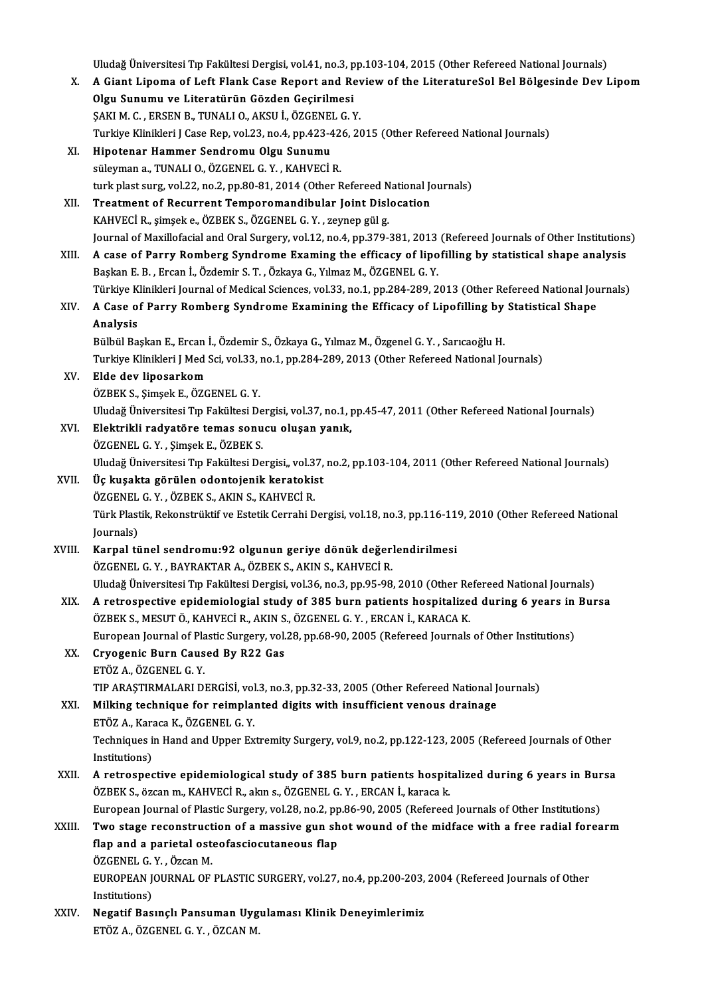Uludağ Üniversitesi Tıp Fakültesi Dergisi, vol.41, no.3, pp.103-104, 2015 (Other Refereed National Journals)

Uludağ Üniversitesi Tıp Fakültesi Dergisi, vol.41, no.3, pp.103-104, 2015 (Other Refereed National Journals)<br>X. A Giant Lipoma of Left Flank Case Report and Review of the LiteratureSol Bel Bölgesinde Dev Lipom<br>Olgu Sun Uludağ Üniversitesi Tıp Fakültesi Dergisi, vol.41, no.3, p<br>A Giant Lipoma of Left Flank Case Report and Re<br>Olgu Sunumu ve Literatürün Gözden Geçirilmesi<br>SAKLM G. ERSEN B. TUNALLO AKSU İ. ÖZGENEL G.) A Giant Lipoma of Left Flank Case Report and Rev<br>Olgu Sunumu ve Literatürün Gözden Geçirilmesi<br>ŞAKI M. C. , ERSEN B., TUNALI O., AKSU İ., ÖZGENEL G. Y.<br>Turkiye Klinikleri LCase Ben vel 22 ne 4 nn 422 426 26 Olgu Sunumu ve Literatürün Gözden Geçirilmesi<br>ŞAKI M. C. , ERSEN B., TUNALI O., AKSU İ., ÖZGENEL G. Y.<br>Turkiye Klinikleri J Case Rep, vol.23, no.4, pp.423-426, 2015 (Other Refereed National Journals) XI. Hipotenar Hammer Sendromu Olgu Sunumu süleyman a., TUNALI O., ÖZGENEL G.Y., KAHVECİ R. turk plast surg, vol.22, no.2, pp.80-81, 2014 (Other Refereed National Journals) XII. Treatment of Recurrent Temporomandibular Joint Dislocation

KAHVECİR., şimşeke.,ÖZBEKS.,ÖZGENELG.Y. , zeynep gülg. Journal of Maxillofacial and Oral Surgery, vol.12, no.4, pp.379-381, 2013 (Refereed Journals of Other Institutions)

XIII. A case of Parry Romberg Syndrome Examing the efficacy of lipofilling by statistical shape analysis BaşkanE.B. ,Ercanİ.,Özdemir S.T. ,ÖzkayaG.,YılmazM.,ÖZGENELG.Y. A case of Parry Romberg Syndrome Examing the efficacy of lipofilling by statistical shape analysis<br>Başkan E. B. , Ercan İ., Özdemir S. T. , Özkaya G., Yılmaz M., ÖZGENEL G. Y.<br>Türkiye Klinikleri Journal of Medical Sciences

Başkan E. B. , Ercan İ., Özdemir S. T. , Özkaya G., Yılmaz M., ÖZGENEL G. Y.<br>Türkiye Klinikleri Journal of Medical Sciences, vol.33, no.1, pp.284-289, 2013 (Other Refereed National Journa<br>XIV. A Case of Parry Romberg S Türkiye K<br><mark>A Case o</mark>:<br>Analysis<br><sup>Pülbül Pe</sub></sup> A Case of Parry Romberg Syndrome Examining the Efficacy of Lipofilling by Statistical Shape<br>Analysis<br>Bülbül Başkan E., Ercan İ., Özdemir S., Özkaya G., Yılmaz M., Özgenel G.Y. , Sarıcaoğlu H.

Analysis<br>Bülbül Başkan E., Ercan İ., Özdemir S., Özkaya G., Yılmaz M., Özgenel G. Y. , Sarıcaoğlu H.<br>Turkiye Klinikleri J Med Sci, vol.33, no.1, pp.284-289, 2013 (Other Refereed National Journals)<br>Elde dev linessakem

## XV. Elde dev liposarkom Turkiye Klinikleri J Med Sci, vol.33, <mark>:</mark><br>**Elde dev liposarkom**<br>ÖZBEK S., Şimşek E., ÖZGENEL G. Y.<br>Uludeğ Üniversitesi Tın Feltültesi D. Elde dev liposarkom<br>ÖZBEK S., Şimşek E., ÖZGENEL G. Y.<br>Uludağ Üniversitesi Tıp Fakültesi Dergisi, vol.37, no.1, pp.45-47, 2011 (Other Refereed National Journals)<br>Flaktrikli redvatöre temas sonusu olusan vanık ÖZBEK S., Şimşek E., ÖZGENEL G. Y.<br>Uludağ Üniversitesi Tıp Fakültesi Dergisi, vol.37, no.1, <sub>I</sub><br>XVI. Elektrikli radyatöre temas sonucu oluşan yanık,<br>ÖZGENEL G. V. Simsek E. ÖZREK S

- Uludağ Üniversitesi Tıp Fakültesi De<br>Elektrikli radyatöre temas sonu<br>ÖZGENEL G. Y. , Şimşek E., ÖZBEK S.<br>Uludağ Üniversitesi Tın Fakültesi De El<mark>ektrikli radyatöre temas sonucu oluşan yanık,</mark><br>ÖZGENEL G. Y. , Şimşek E., ÖZBEK S.<br>Uludağ Üniversitesi Tıp Fakültesi Dergisi,, vol.37, no.2, pp.103-104, 2011 (Other Refereed National Journals)<br>Üe kusakta görülen odentej ÖZGENEL G. Y. , Şimşek E., ÖZBEK S.<br>Uludağ Üniversitesi Tıp Fakültesi Dergisi,, vol.37,<br>XVII. Üç kuşakta görülen odontojenik keratokist<br>ÖZGENEL G. Y. ÖZPEK S. AKIN S. KAHVECİ P.
- Uludağ Üniversitesi Tıp Fakültesi Dergisi,, vol.3<br>Üç kuşakta görülen odontojenik keratoki:<br>ÖZGENEL G. Y. , ÖZBEK S., AKIN S., KAHVECİ R.<br>Türk Plastik, Bekonstrültif ve Estetik Cerrebi D Üç kuşakta görülen odontojenik keratokist<br>ÖZGENEL G. Y. , ÖZBEK S., AKIN S., KAHVECİ R.<br>Türk Plastik, Rekonstrüktif ve Estetik Cerrahi Dergisi, vol.18, no.3, pp.116-119, 2010 (Other Refereed National Journals)

Türk Plastik, Rekonstrüktif ve Estetik Cerrahi Dergisi, vol.18, no.3, pp.116-11<br>Journals)<br>XVIII. Karpal tünel sendromu:92 olgunun geriye dönük değerlendirilmesi<br>ÖZGENEL G. V. BAVRAKTAR A. ÖZREK S. AKIN S. KAHVECİ B Journals)<br><mark>Karpal tünel sendromu:92 olgunun geriye dönük değer</mark>.<br>ÖZGENEL G.Y., BAYRAKTAR A., ÖZBEK S., AKIN S., KAHVECİ R.<br>Uludağ Üniversitesi Tın Feltiltesi Dergisi vel 36 no 3 np 95 98. ÖZGENEL G. Y. , BAYRAKTAR A., ÖZBEK S., AKIN S., KAHVECİ R.<br>Uludağ Üniversitesi Tıp Fakültesi Dergisi, vol.36, no.3, pp.95-98, 2010 (Other Refereed National Journals) ÖZGENEL G. Y. , BAYRAKTAR A., ÖZBEK S., AKIN S., KAHVECİ R.<br>Uludağ Üniversitesi Tıp Fakültesi Dergisi, vol.36, no.3, pp.95-98, 2010 (Other Refereed National Journals)<br>XIX. A retrospective epidemiologial study of 385 bu

Uludağ Üniversitesi Tıp Fakültesi Dergisi, vol.36, no.3, pp.95-98, 2010 (Other Re<br>A retrospective epidemiologial study of 385 burn patients hospitalize<br>ÖZBEK S., MESUT Ö., KAHVECİ R., AKIN S., ÖZGENEL G. Y. , ERCAN İ., KAR A retrospective epidemiologial study of 385 burn patients hospitalized during 6 years in<br>ÖZBEK S., MESUT Ö., KAHVECİ R., AKIN S., ÖZGENEL G. Y. , ERCAN İ., KARACA K.<br>European Journal of Plastic Surgery, vol.28, pp.68-90, 2

# ÖZBEK S., MESUT Ö., KAHVECİ R., AKIN S<br>European Journal of Plastic Surgery, vol.<br>XX. Cryogenic Burn Caused By R22 Gas European Journal of Pla<br><mark>Cryogenic Burn Caus</mark><br>ETÖZ A., ÖZGENEL G. Y.<br>TIP ARASTIRMALARLDI ETÖZ A., ÖZGENEL G. Y.<br>TIP ARAŞTIRMALARI DERGİSİ, vol.3, no.3, pp.32-33, 2005 (Other Refereed National Journals) ETÖZ A., ÖZGENEL G. Y.<br>TIP ARAŞTIRMALARI DERGİSİ, vol.3, no.3, pp.32-33, 2005 (Other Refereed National J<br>XXI. Milking technique for reimplanted digits with insufficient venous drainage<br>ETÖZ A. Karaça K. ÖZGENEL G. V

TIP ARAŞTIRMALARI DERGİSİ, vol<br>Milking technique for reimpla:<br>ETÖZ A., Karaca K., ÖZGENEL G. Y.<br>Techniques in Hand and Hanor Ev Techniques in Hand and Upper Extremity Surgery, vol.9, no.2, pp.122-123, 2005 (Refereed Journals of Other Institutions) ETÖZ A., Karaca K., ÖZGENEL G. Y. Techniques in Hand and Upper Extremity Surgery, vol.9, no.2, pp.122-123, 2005 (Refereed Journals of Other<br>Institutions)<br>XXII. A retrospective epidemiological study of 385 burn patients hospitalized during 6 years in Bursa<br>

Institutions)<br>A retrospective epidemiological study of 385 burn patients hospit<br>ÖZBEK S., özcan m., KAHVECİ R., akın s., ÖZGENEL G. Y. , ERCAN İ., karaca k.<br>European Journal of Plastic Surgery, vol 39, no 3, np 86,90,2005 A retrospective epidemiological study of 385 burn patients hospitalized during 6 years in Bur<br>ÖZBEK S., özcan m., KAHVECİ R., akın s., ÖZGENEL G. Y. , ERCAN İ., karaca k.<br>European Journal of Plastic Surgery, vol.28, no.2, European Journal of Plastic Surgery, vol.28, no.2, pp.86-90, 2005 (Refereed Journals of Other Institutions)

# ÖZBEK S., özcan m., KAHVECİ R., akın s., ÖZGENEL G. Y. , ERCAN İ., karaca k.<br>European Journal of Plastic Surgery, vol.28, no.2, pp.86-90, 2005 (Refereed Journals of Other Institutions)<br>XXIII. Two stage reconstruction of a Two stage reconstruct<br>flap and a parietal ost<br>ÖZGENEL G.Y., Özcan M.<br>EUROPEAN JOURNAL OF flap and a parietal osteofasciocutaneous flap<br>ÖZGENEL G. Y. , Özcan M.<br>EUROPEAN JOURNAL OF PLASTIC SURGERY, vol.27, no.4, pp.200-203, 2004 (Refereed Journals of Other<br>Institutions) ÖZGENEL G.<br>EUROPEAN J<br>Institutions)<br>Negatif Bas EUROPEAN JOURNAL OF PLASTIC SURGERY, vol.27, no.4, pp.200-203,<br>Institutions)<br>XXIV. Negatif Basınçlı Pansuman Uygulaması Klinik Deneyimlerimiz<br>ETÖZA ÖZCENEL C. X. ÖZCAN M

Institutions)<br>Negatif Basınçlı Pansuman Uygulaması Klinik Deneyimlerimiz<br>ETÖZ A., ÖZGENEL G.Y. , ÖZCAN M.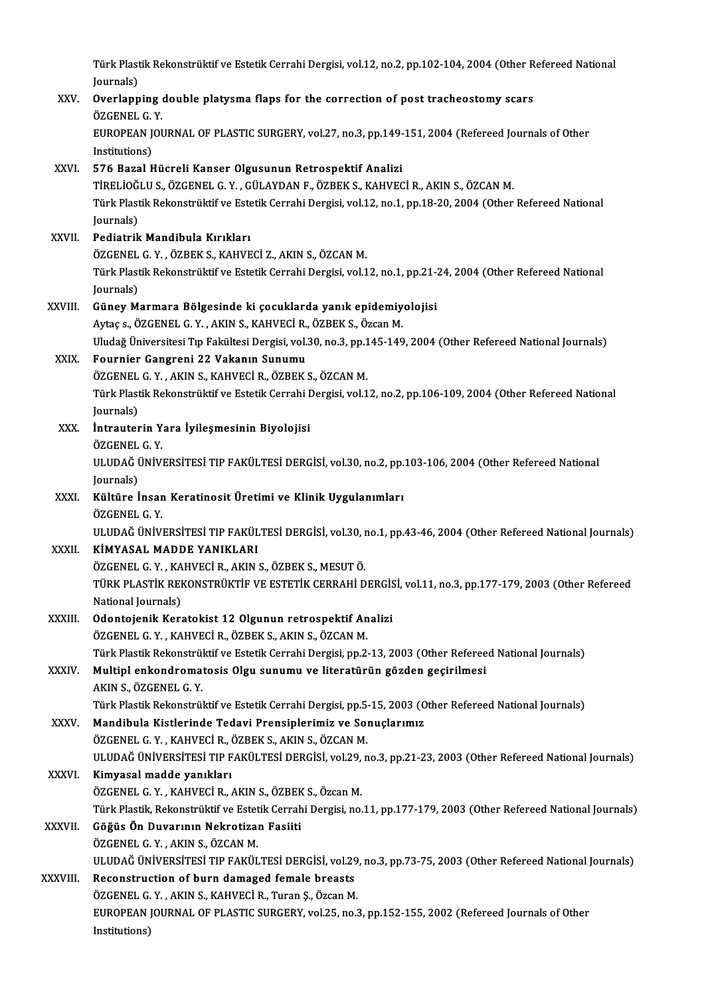Türk Plastik Rekonstrüktif ve Estetik Cerrahi Dergisi, vol.12, no.2, pp.102-104, 2004 (Other Refereed National<br>Journale) Türk Plast<br>Journals)<br>Overlenn

## Türk Plastik Rekonstrüktif ve Estetik Cerrahi Dergisi, vol.12, no.2, pp.102-104, 2004 (Other R<br>Journals)<br>XXV. Overlapping double platysma flaps for the correction of post tracheostomy scars<br>ÖZCENEL C. V Journals)<br><mark>Overlapping</mark><br>ÖZGENEL G. Y.<br>EUROPEAN JOL Overlapping double platysma flaps for the correction of post tracheostomy scars<br>ÖZGENEL G. Y.<br>EUROPEAN JOURNAL OF PLASTIC SURGERY, vol.27, no.3, pp.149-151, 2004 (Refereed Journals of Other<br>Institutions) ÖZGENEL G.<br>EUROPEAN J<br>Institutions)<br>EZE Paral H XXVI. 576 Bazal Hücreli Kanser Olgusunun Retrospektif Analizi Institutions)<br>576 Bazal Hücreli Kanser Olgusunun Retrospektif Analizi<br>Türk Plastik Bekenstrüktif ve Estetik Cerrebi Dergisi vel 12. no.1. nn 18.20.2004 (Other 576 Bazal Hücreli Kanser Olgusunun Retrospektif Analizi<br>TİRELİOĞLU S., ÖZGENEL G. Y. , GÜLAYDAN F., ÖZBEK S., KAHVECİ R., AKIN S., ÖZCAN M.<br>Türk Plastik Rekonstrüktif ve Estetik Cerrahi Dergisi, vol.12, no.1, pp.18-20, 200 TİRELİOĞ<br>Türk Plast<br>Journals)<br>Pediatrik Türk Plastik Rekonstrüktif ve Este<br>Journals)<br>XXVII. – Pediatrik Mandibula Kırıkları<br>67CENEL G. V. 67PEK S. KAHVE Journals)<br>Pediatrik Mandibula Kırıkları<br>ÖZGENEL G.Y. ,ÖZBEK S., KAHVECİ Z., AKIN S., ÖZCAN M. Pediatrik Mandibula Kırıkları<br>ÖZGENEL G. Y. , ÖZBEK S., KAHVECİ Z., AKIN S., ÖZCAN M.<br>Türk Plastik Rekonstrüktif ve Estetik Cerrahi Dergisi, vol.12, no.1, pp.21-24, 2004 (Other Refereed National ÖZGENEL<br>Türk Plast<br>Journals)<br>Günev M Türk Plastik Rekonstrüktif ve Estetik Cerrahi Dergisi, vol.12, no.1, pp.21-<br>Journals)<br>XXVIII. Güney Marmara Bölgesinde ki çocuklarda yanık epidemiyolojisi<br>Aytas Azires Bölgesinde ki çocuklarda yanık epidemiyolojisi Journals)<br>Güney Marmara Bölgesinde ki çocuklarda yanık epidemiy<br>Aytaç s., ÖZGENEL G.Y. , AKIN S., KAHVECİ R., ÖZBEK S., Özcan M.<br>Uludeğ Üniversitesi Tın Felsiltesi Dersisi vel 30 ne 3 nn 145 140 Güney Marmara Bölgesinde ki çocuklarda yanık epidemiyolojisi<br>Aytaç s., ÖZGENEL G. Y. , AKIN S., KAHVECİ R., ÖZBEK S., Özcan M.<br>Uludağ Üniversitesi Tıp Fakültesi Dergisi, vol.30, no.3, pp.145-149, 2004 (Other Refereed Natio Aytaç s., ÖZGENEL G. Y. , AKIN S., KAHVECİ R.,<br>Uludağ Üniversitesi Tıp Fakültesi Dergisi, vol.:<br>XXIX. Fournier Gangreni 22 Vakanın Sunumu<br>ÖZGENEL G. V. AKIN S. KAHVECİ B. ÖZBEK Uludağ Üniversitesi Tıp Fakültesi Dergisi, vol.30, no.3, pp.1<br>Fournier Gangreni 22 Vakanın Sunumu<br>ÖZGENEL G.Y. , AKIN S., KAHVECİ R., ÖZBEK S., ÖZCAN M.<br>Türk Plastik Rekenstrüktif ve Estetik Cenrebi Dergisi, vol.1 Fournier Gangreni 22 Vakanın Sunumu<br>ÖZGENEL G. Y. , AKIN S., KAHVECİ R., ÖZBEK S., ÖZCAN M.<br>Türk Plastik Rekonstrüktif ve Estetik Cerrahi Dergisi, vol.12, no.2, pp.106-109, 2004 (Other Refereed National ÖZGENEL<br>Türk Plast<br>Journals)<br>İntrautar Türk Plastik Rekonstrüktif ve Estetik Cerrahi I<br>Journals)<br>XXX. İntrauterin Yara İyileşmesinin Biyolojisi<br>ÖZCENEL C. V Journals)<br><mark>İntrauterin Y</mark>.<br>ÖZGENEL G. Y.<br>III UDAČ ÜNİV! İntrauterin Yara İyileşmesinin Biyolojisi<br>ÖZGENEL G. Y.<br>ULUDAĞ ÜNİVERSİTESİ TIP FAKÜLTESİ DERGİSİ, vol.30, no.2, pp.103-106, 2004 (Other Refereed National ÖZGENEL<br>ULUDAĞ (<br>Journals)<br>Kültüre İ ULUDAĞ ÜNİVERSİTESİ TIP FAKÜLTESİ DERGİSİ, vol.30, no.2, pp.<br>Journals)<br>XXXI. Kültüre İnsan Keratinosit Üretimi ve Klinik Uygulanımları<br>ÖZGENEL G. V Journals)<br><mark>Kültüre İnsar</mark><br>ÖZGENEL G. Y.<br>ULUDAČ ÜNİVI Kültüre İnsan Keratinosit Üretimi ve Klinik Uygulanımları<br>ÖZGENEL G. Y.<br>ULUDAĞ ÜNİVERSİTESİ TIP FAKÜLTESİ DERGİSİ, vol.30, no.1, pp.43-46, 2004 (Other Refereed National Journals)<br>KİMYASAL MADDE YANIKLARI ÖZGENEL G. Y.<br>ULUDAĞ ÜNİVERSİTESİ TIP FAKÜL<br>XXXII. ... KİMYASAL MADDE YANIKLARI<br>ÖZGENEL G. Y. KAHVECİ B. AKIN ULUDAĞ ÜNİVERSİTESİ TIP FAKÜLTESİ DERGİSİ, vol.30, 1<br>**KİMYASAL MADDE YANIKLARI**<br>ÖZGENEL G. Y. , KAHVECİ R., AKIN S., ÖZBEK S., MESUT Ö.<br>TÜRK BLASTİK REKONSTRÜKTİR VE ESTETİK CERRAHİ D KİMYASAL MADDE YANIKLARI<br>ÖZGENEL G. Y. , KAHVECİ R., AKIN S., ÖZBEK S., MESUT Ö.<br>TÜRK PLASTİK REKONSTRÜKTİF VE ESTETİK CERRAHİ DERGİSİ, vol.11, no.3, pp.177-179, 2003 (Other Refereed<br>National Journals) ÖZGENEL G.Y., KAHVECİ R., AKIN S., ÖZBEK S., MESUT Ö. TÜRK PLASTİK REKONSTRÜKTİF VE ESTETİK CERRAHİ DERGİS<br>National Journals)<br>XXXIII. 00 Odontojenik Keratokist 12 Olgunun retrospektif Analizi National Journals)<br>Odontojenik Keratokist 12 Olgunun retrospektif An<br>ÖZGENEL G.Y., KAHVECİ R., ÖZBEK S., AKIN S., ÖZCAN M.<br>Türk Plastik Rekenstrüktif ve Estetik Cenrabi Dergisi an 3 Odontojenik Keratokist 12 Olgunun retrospektif Analizi<br>ÖZGENEL G. Y. , KAHVECİ R., ÖZBEK S., AKIN S., ÖZCAN M.<br>Türk Plastik Rekonstrüktif ve Estetik Cerrahi Dergisi, pp.2-13, 2003 (Other Refereed National Journals)<br>Multipl ÖZGENEL G. Y. , KAHVECİ R., ÖZBEK S., AKIN S., ÖZCAN M.<br>Türk Plastik Rekonstrüktif ve Estetik Cerrahi Dergisi, pp.2-13, 2003 (Other Referee<br>XXXIV. Multipl enkondromatosis Olgu sunumu ve literatürün gözden geçirilmesi<br>AKIN Türk Plastik Rekonstrül<br><mark>Multipl enkondroma</mark><br>AKIN S., ÖZGENEL G. Y.<br><sup>Türk Plastik Bekonstrül</sup> Multipl enkondromatosis Olgu sunumu ve literatürün gözden geçirilmesi<br>AKIN S., ÖZGENEL G. Y.<br>Türk Plastik Rekonstrüktif ve Estetik Cerrahi Dergisi, pp.5-15, 2003 (Other Refereed National Journals)<br>Mandibula Kistlerinda Ted AKIN S., ÖZGENEL G. Y.<br>Türk Plastik Rekonstrüktif ve Estetik Cerrahi Dergisi, pp.5-15, 2003 (O<br>XXXV. Mandibula Kistlerinde Tedavi Prensiplerimiz ve Sonuçlarımız<br>ÖZCENEL C. X. KAHVECİ B. ÖZBEK S. AKIN S. ÖZCAN M Türk Plastik Rekonstrüktif ve Estetik Cerrahi Dergisi, pp.5-<br>Mandibula Kistlerinde Tedavi Prensiplerimiz ve Sol<br>ÖZGENEL G.Y., KAHVECİ R., ÖZBEK S., AKIN S., ÖZCAN M.<br>ULUDAĞ ÜNİVERSİTESİ TIR RAKÜLTESİ DERÇISİ vel 29-n Mandibula Kistlerinde Tedavi Prensiplerimiz ve Sonuçlarımız<br>ÖZGENEL G. Y. , KAHVECİ R., ÖZBEK S., AKIN S., ÖZCAN M.<br>ULUDAĞ ÜNİVERSİTESİ TIP FAKÜLTESİ DERGİSİ, vol.29, no.3, pp.21-23, 2003 (Other Refereed National Journals) ÖZGENEL G.Y., KAHVECİ R., ÖZGENEL G.Y., KAHVECİ R., ÖZGENEL G.Y., KAHVECİ B., ÖZGENEL G.Y., KAHVECİ B., ULUDAĞ ÜNİVERSİTESİ TIP FAKÜLTESİ DERGİSİ, vol.29,<br>**Kimyasal madde yanıkları**<br>ÖZGENEL G. Y. , KAHVECİ R., AKIN S., ÖZBEK S., Özcan M.<br>Türk Plastik, Bekenstrüktif ve Estatik Cerrebi Dergisi, ne Ki<mark>myasal madde yanıkları</mark><br>ÖZGENEL G. Y. , KAHVECİ R., AKIN S., ÖZBEK S., Özcan M.<br>Türk Plastik, Rekonstrüktif ve Estetik Cerrahi Dergisi, no.11, pp.177-179, 2003 (Other Refereed National Journals)<br>Göğüs Ön Duyanının Nekro ÖZGENEL G. Y. , KAHVECİ R., AKIN S., ÖZBEK S., Özcan M.<br>Türk Plastik, Rekonstrüktif ve Estetik Cerrahi Dergisi, no.<br>XXXVII. Göğüs Ön Duvarının Nekrotizan Fasiiti<br>ÖZGENEL G. Y. , AKIN S., ÖZCAN M. Türk Plastik, Rekonstrüktif ve Estet<br>Göğüs Ön Duvarının Nekrotizal<br>ÖZGENEL G.Y. , AKIN S., ÖZCAN M.<br>ULUDAĞ ÜNİVERSİTESİ TIR FAKÜL Göğüs Ön Duvarının Nekrotizan Fasiiti<br>ÖZGENEL G. Y. , AKIN S., ÖZCAN M.<br>ULUDAĞ ÜNİVERSİTESİ TIP FAKÜLTESİ DERGİSİ, vol.29, no.3, pp.73-75, 2003 (Other Refereed National Journals)<br>Resenstrustion of burn damaged famala braas ÖZGENEL G. Y., AKIN S., ÖZCAN M.<br>ULUDAĞ ÜNIVERSITESI TIP FAKÜLTESI DERGISI, vol.29<br>XXXVIII. Reconstruction of burn damaged female breasts ULUDAĞ ÜNİVERSİTESİ TIP FAKÜLTESİ DERGİSİ, vol.29<br>Reconstruction of burn damaged female breasts<br>ÖZGENEL G.Y., AKIN S., KAHVECİ R., Turan Ş., Özcan M.<br>FUROPEAN JOUPNAL OF PLASTIC SUPCEPY vol.25, po.3 Reconstruction of burn damaged female breasts<br>ÖZGENEL G. Y. , AKIN S., KAHVECİ R., Turan Ş., Özcan M.<br>EUROPEAN JOURNAL OF PLASTIC SURGERY, vol.25, no.3, pp.152-155, 2002 (Refereed Journals of Other<br>Institutione) ÖZGENEL G.<br>EUROPEAN ]<br>Institutions)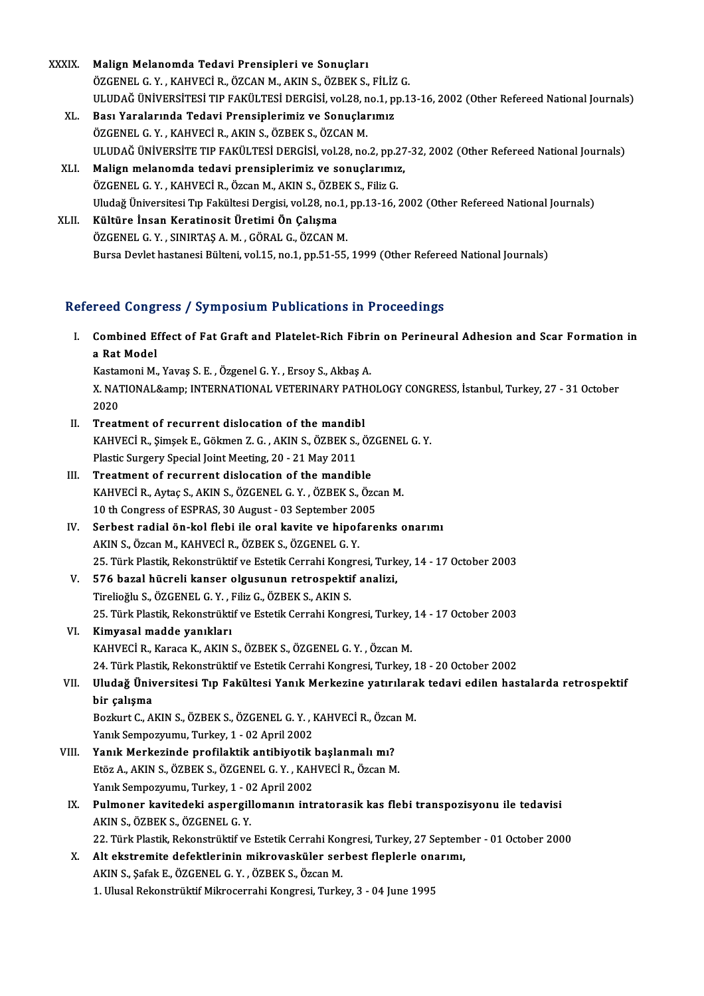- XXXIX. Malign Melanomda Tedavi Prensipleri ve Sonuçları ÖZGENELG.Y. ,KAHVECİR.,ÖZCANM.,AKINS.,ÖZBEKS.,FİLİZG. Malign Melanomda Tedavi Prensipleri ve Sonuçları<br>ÖZGENEL G. Y. , KAHVECİ R., ÖZCAN M., AKIN S., ÖZBEK S., FİLİZ G.<br>ULUDAĞ ÜNİVERSİTESİ TIP FAKÜLTESİ DERGİSİ, vol.28, no.1, pp.13-16, 2002 (Other Refereed National Journals)<br> XL. Bası Yaralarında Tedavi Prensiplerimiz ve Sonuçlarımız ULUDAĞ ÜNİVERSİTESİ TIP FAKÜLTESİ DERGİSİ, vol.28, n<br>Bası Yaralarında Tedavi Prensiplerimiz ve Sonuçlaı<br>ÖZGENEL G.Y., KAHVECİ R., AKIN S., ÖZBEK S., ÖZCAN M.<br>III UDAĞ ÜNİVERSİTE TIR FAKÜLTESİ DERÇİSİ, vol.28, no Bası Yaralarında Tedavi Prensiplerimiz ve Sonuçlarımız<br>ÖZGENEL G. Y. , KAHVECİ R., AKIN S., ÖZBEK S., ÖZCAN M.<br>ULUDAĞ ÜNİVERSİTE TIP FAKÜLTESİ DERGİSİ, vol.28, no.2, pp.27-32, 2002 (Other Refereed National Journals)<br>Malian
	-
	- XLI. Malign melanomda tedavi prensiplerimiz ve sonuçlarımız,<br>ÖZGENEL G.Y., KAHVECİ R., Özcan M., AKIN S., ÖZBEK S., Filiz G. ULUDAĞ ÜNİVERSİTE TIP FAKÜLTESİ DERGİSİ, vol.28, no.2, pp.2<br>Malign melanomda tedavi prensiplerimiz ve sonuçlarımız<br>ÖZGENEL G. Y. , KAHVECİ R., Özcan M., AKIN S., ÖZBEK S., Filiz G.<br>Uludağ Üniversitesi Tın Fakültesi Dergisi Malign melanomda tedavi prensiplerimiz ve sonuçlarımız,<br>ÖZGENEL G. Y. , KAHVECİ R., Özcan M., AKIN S., ÖZBEK S., Filiz G.<br>Uludağ Üniversitesi Tıp Fakültesi Dergisi, vol.28, no.1, pp.13-16, 2002 (Other Refereed National Jou
	- XLII. Kültüre İnsan Keratinosit Üretimi Ön Çalışma<br>ÖZGENEL G. Y., SINIRTAŞ A. M., GÖRAL G., ÖZCAN M. Uludağ Üniversitesi Tıp Fakültesi Dergisi, vol.28, no.1,<br>**Kültüre İnsan Keratinosit Üretimi Ön Çalışma**<br>ÖZGENEL G. Y. , SINIRTAŞ A. M. , GÖRAL G., ÖZCAN M.<br>Pursa Davkit bestanesi Bülteni vel 15 no.1 np 51 55 Bursa Devlet hastanesi Bülteni, vol.15, no.1, pp.51-55, 1999 (Other Refereed National Journals)

### Refereed Congress / Symposium Publications in Proceedings

efereed Congress / Symposium Publications in Proceedings<br>I. Combined Effect of Fat Graft and Platelet-Rich Fibrin on Perineural Adhesion and Scar Formation in reed dong.<br>Combined Ei<br>a Rat Model<br>Vestameni M Combined Effect of Fat Graft and Platelet-Rich Fibri<br>a Rat Model<br>Kastamoni M., Yavaş S.E. , Özgenel G.Y. , Ersoy S., Akbaş A.<br>Y. NATIONAL Semp. INTERNATIONAL VETERINARY RATHO

a Rat Model<br>Kastamoni M., Yavaş S. E. , Özgenel G. Y. , Ersoy S., Akbaş A.<br>X. NATIONAL&amp; INTERNATIONAL VETERINARY PATHOLOGY CONGRESS, İstanbul, Turkey, 27 - 31 October<br>2020 Kastar<br>X. NAT<br>2020<br>Treet X. NATIONAL& INTERNATIONAL VETERINARY PATH<br>2020<br>II. Treatment of recurrent dislocation of the mandibl<br>KAHVECLE Simpse E Gölman 7. C. AKIN S. ÖZERK S. Č

- 2020<br>Treatment of recurrent dislocation of the mandibl<br>KAHVECİ R., Şimşek E., Gökmen Z. G. , AKIN S., ÖZBEK S., ÖZGENEL G. Y.<br>Plastic Surgery Special Joint Mesting, 20,, 21 May 2011 Treatment of recurrent dislocation of the mandib<br>KAHVECİ R., Şimşek E., Gökmen Z. G. , AKIN S., ÖZBEK S.,<br>Plastic Surgery Special Joint Meeting, 20 - 21 May 2011<br>Treatment of recurrent dislocation of the mandib KAHVECİ R., Şimşek E., Gökmen Z. G., AKIN S., ÖZBEK S., ÖZ<br>Plastic Surgery Special Joint Meeting, 20 - 21 May 2011<br>III. Treatment of recurrent dislocation of the mandible<br>KAHVECİ B. AYER S. AKIN S. ÖZGENEL G. V. ÖZBEK S. Ö
- Plastic Surgery Special Joint Meeting, 20 21 May 2011<br>III. Treatment of recurrent dislocation of the mandible<br>KAHVECİ R., Aytaç S., AKIN S., ÖZGENEL G.Y. , ÖZBEK S., Özcan M. Treatment of recurrent dislocation of the mandible<br>KAHVECİ R., Aytaç S., AKIN S., ÖZGENEL G. Y. , ÖZBEK S., Özc<br>10 th Congress of ESPRAS, 30 August - 03 September 2005<br>Serbest radial ön kel flebi ile eral kevite ve binefar
- IV. Serbest radial ön-kol flebi ile oral kavite ve hipofarenks onarımı 10 th Congress of ESPRAS, 30 August - 03 September 20<br>Serbest radial ön-kol flebi ile oral kavite ve hipof<br>AKIN S., Özcan M., KAHVECİR., ÖZBEK S., ÖZGENEL G. Y. Serbest radial ön-kol flebi ile oral kavite ve hipofarenks onarımı<br>AKIN S., Özcan M., KAHVECİ R., ÖZBEK S., ÖZGENEL G. Y.<br>25. Türk Plastik, Rekonstrüktif ve Estetik Cerrahi Kongresi, Turkey, 14 - 17 October 2003<br>576 baral AKIN S., Özcan M., KAHVECİ R., ÖZBEK S., ÖZGENEL G. Y.<br>25. Türk Plastik, Rekonstrüktif ve Estetik Cerrahi Kongresi, Turk<br>V. 576 bazal hücreli kanser olgusunun retrospektif analizi,<br>Tipolioğlu S. ÖZGENEL G. V. Filip G. ÖZBE
- 25. Türk Plastik, Rekonstrüktif ve Estetik Cerrahi Kong<br>576 bazal hücreli kanser olgusunun retrospekti<br>Tirelioğlu S., ÖZGENEL G. Y. , Filiz G., ÖZBEK S., AKIN S.<br>25. Türk Plastik, Rekonstrüktif ve Estetik Cerrebi Kong 25. V. 576 bazal hücreli kanser olgusunun retrospektif analizi,<br>Tirelioğlu S., ÖZGENEL G. Y. , Filiz G., ÖZBEK S., AKIN S.<br>25. Türk Plastik, Rekonstrüktif ve Estetik Cerrahi Kongresi, Turkey, 14 - 17 October 2003
- VI. Kimyasalmadde yanıkları KAHVECİR., Karaca K., AKIN S., ÖZBEK S., ÖZGENEL G.Y., Özcan M. Ki<mark>myasal madde yanıkları</mark><br>KAHVECİ R., Karaca K., AKIN S., ÖZBEK S., ÖZGENEL G. Y. , Özcan M.<br>24. Türk Plastik, Rekonstrüktif ve Estetik Cerrahi Kongresi, Turkey, 18 - 20 October 2002<br>Uludağ Üniversitesi Tın Fakültesi Yanı
- VII. Uludağ Üniversitesi Tıp Fakültesi Yanık Merkezine yatırılarak tedavi edilen hastalarda retrospektif<br>bir çalışma 24. Türk Plas<br>Uludağ Üniy<br>bir çalışma<br><sup>Rozlaut C. A</sup> Uludağ Üniversitesi Tıp Fakültesi Yanık Merkezine yatırılara<br>bir çalışma<br>Bozkurt C., AKIN S., ÖZBEK S., ÖZGENEL G.Y., KAHVECİ R., Özcan M.<br>Yanık Samnazınımu, Turkay 1, .03 Anril 2002 bir çalışma<br>Bozkurt C., AKIN S., ÖZBEK S., ÖZGENEL G. Y. , I<br>Yanık Sempozyumu, Turkey, 1 - 02 April 2002<br>Yanık Merkeginde prefilektik entibiyetik i

- Bozkurt C., AKIN S., ÖZBEK S., ÖZGENEL G. Y., KAHVECİ R., Özca:<br>Yanık Sempozyumu, Turkey, 1 02 April 2002<br>VIII. Yanık Merkezinde profilaktik antibiyotik başlanmalı mı?<br>Ftar A. AKIN S. ÖZPEK S. ÖZGENEL G. Y. KAHVECİ B. ÖZ Yanık Sempozyumu, Turkey, 1 - 02 April 2002<br>Yanık Merkezinde profilaktik antibiyotik başlanmalı mı?<br>Etöz A., AKIN S., ÖZBEK S., ÖZGENEL G. Y. , KAHVECİ R., Özcan M.<br>Yanık Sempermumu, Turkey, 1 - 02 April 2002 Yanık Merkezinde profilaktik antibiyotik<br>Etöz A., AKIN S., ÖZBEK S., ÖZGENEL G. Y. , KAH<br>Yanık Sempozyumu, Turkey, 1 - 02 April 2002<br>Pulmener kevitedeki senergillemenın inti
- Etöz A., AKIN S., ÖZBEK S., ÖZGENEL G. Y. , KAHVECİ R., Özcan M.<br>1992 Yanık Sempozyumu, Turkey, 1 02 April 2002<br>IX. Pulmoner kavitedeki aspergillomanın intratorasik kas flebi transpozisyonu ile tedavisi Yanık Sempozyumu, Turkey, 1 - 0<br><mark>Pulmoner kavitedeki aspergil</mark><br>AKIN S., ÖZBEK S., ÖZGENEL G. Y.<br>22. Türk Plestik, Pekenstrültif ve Pulmoner kavitedeki aspergillomanın intratorasik kas flebi transpozisyonu ile tedavisi<br>AKIN S., ÖZBEK S., ÖZGENEL G. Y.<br>22. Türk Plastik, Rekonstrüktif ve Estetik Cerrahi Kongresi, Turkey, 27 September - 01 October 2000<br>Al AKIN S., ÖZBEK S., ÖZGENEL G. Y.<br>22. Türk Plastik, Rekonstrüktif ve Estetik Cerrahi Kongresi, Turkey, 27 Septeml<br>X. Alt ekstremite defektlerinin mikrovasküler serbest fleplerle onarımı,<br>AKIN S. Sefek E. ÖZGENEL G. V. ÖZBEK
- 22. Türk Plastik, Rekonstrüktif ve Estetik Cerrahi Kor<br>Alt ekstremite defektlerinin mikrovasküler ser<br>AKIN S., Şafak E., ÖZGENEL G. Y. , ÖZBEK S., Özcan M.<br>1. Ulusel Bekanstrühtif Milroserrabi Konsresi Turks AKIN S., Şafak E., ÖZGENEL G. Y. , ÖZBEK S., Özcan M.<br>1. Ulusal Rekonstrüktif Mikrocerrahi Kongresi, Turkey, 3 - 04 June 1995